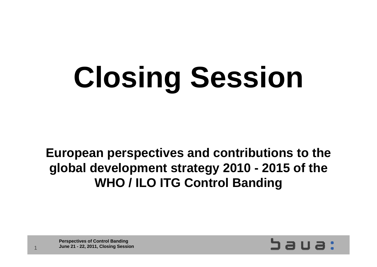# **Closing Session**

**European perspectives and contributions to the global development strategy 2010 - 2015 of the WHO / ILO ITG Control Banding**

**Perspectives of Control Banding June 21 - 22, 2011, Closing Session**



1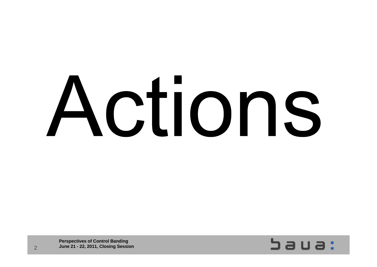# Actions

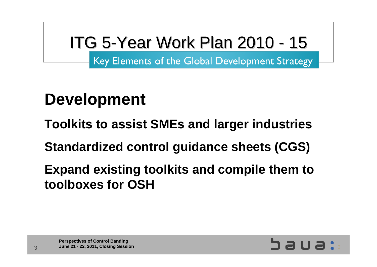# ITG 5-Year Work Plan 2010 - 15

Key Elements of the Global Development Strategy

### **Development**

**Toolkits to assist SMEs and larger industries** 

**Standardized control guidance sheets (CGS)**

**Expand existing toolkits and compile them to toolboxes for OSH**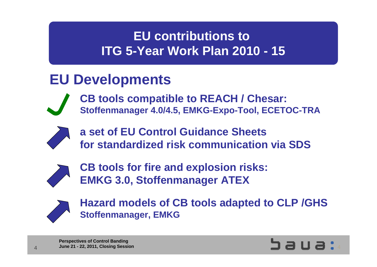#### **EU Developments**



**CB tools compatible to REACH / Chesar: Stoffenmanager 4.0/4.5, EMKG-Expo-Tool, ECETOC-TRA**



**a set of EU Control Guidance Sheets for standardized risk communication via SDS**



**CB tools for fire and explosion risks: EMKG 3.0, Stoffenmanager ATEX**



**Hazard models of CB tools adapted to CLP /GHS Stoffenmanager, EMKG**

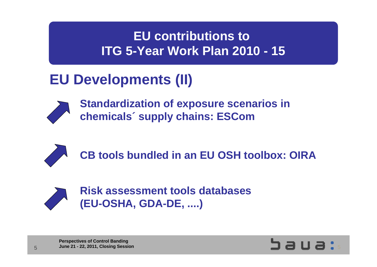#### **EU Developments (II)**



**Standardization of exposure scenarios in chemicals´ supply chains: ESCom**



**CB tools bundled in an EU OSH toolbox: OIRA**



**Risk assessment tools databases (EU-OSHA, GDA-DE, ....)**

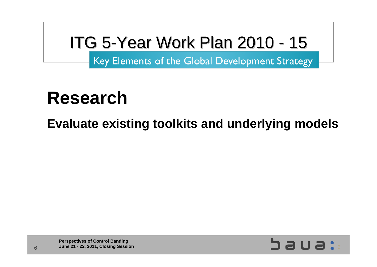# ITG 5-Year Work Plan 2010 - 15

Key Elements of the Global Development Strategy

# **Research**

**Evaluate existing toolkits and underlying models**

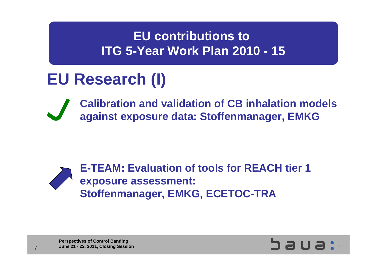### **EU Research (I)**

**Calibration and validation of CB inhalation models against exposure data: Stoffenmanager, EMKG**



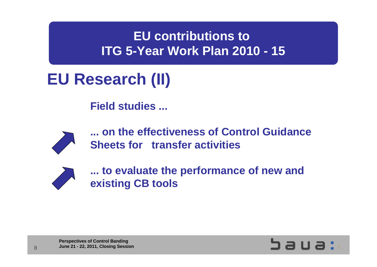# **EU Research (II)**

**Field studies ...**



**... on the effectiveness of Control Guidance Sheets for transfer activities**



**... to evaluate the performance of new and existing CB tools**



**Perspectives of Control Banding Derspectives of Control Banding**<br>
June 21 - 22, 2011, Closing Session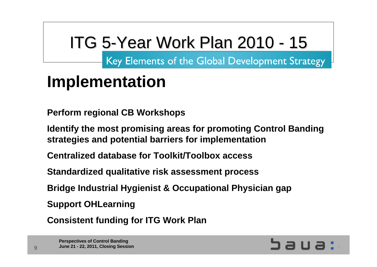# ITG 5-Year Work Plan 2010 - 15

Key Elements of the Global Development Strategy

# **Implementation**

**Perform regional CB Workshops**

**Identify the most promising areas for promoting Control Banding strategies and potential barriers for implementation** 

**Centralized database for Toolkit/Toolbox access** 

**Standardized qualitative risk assessment process**

**Bridge Industrial Hygienist & Occupational Physician gap** 

**Support OHLearning**

**Consistent funding for ITG Work Plan**

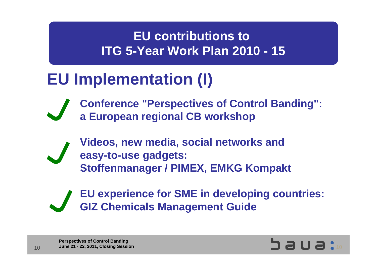### **EU Implementation (I)**

**Conference "Perspectives of Control Banding": a European regional CB workshop**

**Videos, new media, social networks and easy-to-use gadgets: Stoffenmanager / PIMEX, EMKG Kompakt**



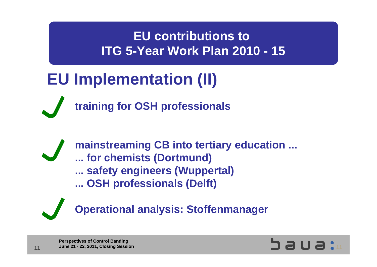# **EU Implementation (II)**



**training for OSH professionals**

**mainstreaming CB into tertiary education ... ... for chemists (Dortmund) ... safety engineers (Wuppertal) ... OSH professionals (Delft)**



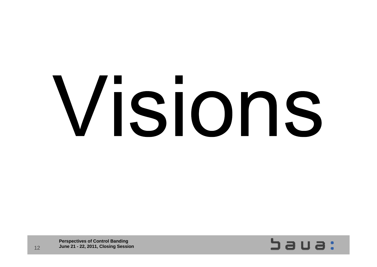# Visions

 $5a$ ua: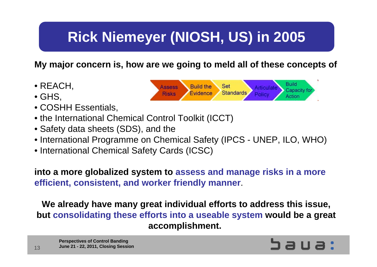### **Rick Niemeyer (NIOSH, US) in 2005**

#### **My major concern is, how are we going to meld all of these concepts of**

- REACH,
- GHS,
- COSHH Essentials,
- the International Chemical Control Toolkit (ICCT)
- Safety data sheets (SDS), and the
- International Programme on Chemical Safety (IPCS UNEP, ILO, WHO)
- International Chemical Safety Cards (ICSC)

**into a more globalized system to assess and manage risks in a more efficient, consistent, and worker friendly manner**.

**We already have many great individual efforts to address this issue, but consolidating these efforts into a useable system would be a great accomplishment.**



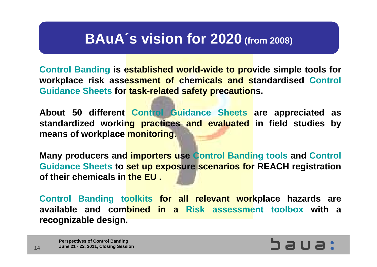#### **BAuA´s vision for 2020 (from 2008)**

**Control Banding is established world-wide to provide simple tools for workplace risk assessment of chemicals and standardised Control Guidance Sheets for task-related safety precautions.** 

**About 50 different Control Guidance Sheets are appreciated as standardized working practices and evaluated in field studies by means of workplace monitoring.**

**Many producers and importers use Control Banding tools and Control Guidance Sheets to set up exposure scenarios for REACH registration of their chemicals in the EU .** 

**Control Banding toolkits for all relevant workplace hazards are available and combined in a Risk assessment toolbox with a recognizable design.**

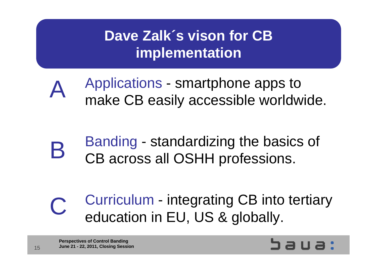#### **Dave Zalk´s vison for CB implementation**

- Applications smartphone apps to make CB easily accessible worldwide. A
- Banding standardizing the basics of CB across all OSHH professions. B
- Curriculum integrating CB into tertiary education in EU, US & globally. C

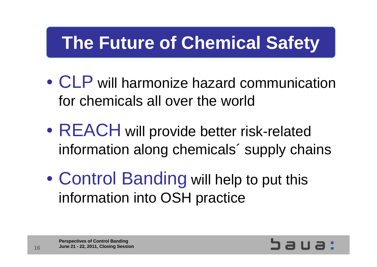# **The Future of Chemical Safety**

- • CLP will harmonize hazard communication for chemicals all over the world
- $\bullet$  REACH will provide better risk-related information along chemicals´ supply chains
- $\bullet$  Control Banding will help to put this information into OSH practice